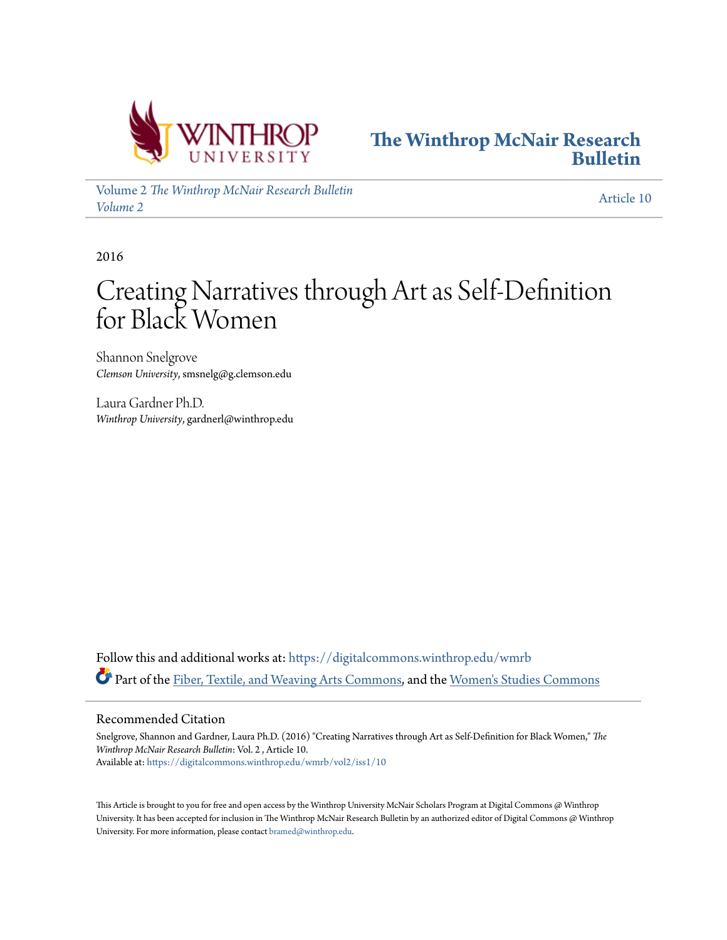



Volume 2 *[The Winthrop McNair Research Bulletin](https://digitalcommons.winthrop.edu/wmrb/vol2?utm_source=digitalcommons.winthrop.edu%2Fwmrb%2Fvol2%2Fiss1%2F10&utm_medium=PDF&utm_campaign=PDFCoverPages) [Volume 2](https://digitalcommons.winthrop.edu/wmrb/vol2?utm_source=digitalcommons.winthrop.edu%2Fwmrb%2Fvol2%2Fiss1%2F10&utm_medium=PDF&utm_campaign=PDFCoverPages)* [Article 10](https://digitalcommons.winthrop.edu/wmrb/vol2/iss1/10?utm_source=digitalcommons.winthrop.edu%2Fwmrb%2Fvol2%2Fiss1%2F10&utm_medium=PDF&utm_campaign=PDFCoverPages)

2016

# Creating Narratives through Art as Self-Definition for Black Women

Shannon Snelgrove *Clemson University*, smsnelg@g.clemson.edu

Laura Gardner Ph.D. *Winthrop University*, gardnerl@winthrop.edu

Follow this and additional works at: [https://digitalcommons.winthrop.edu/wmrb](https://digitalcommons.winthrop.edu/wmrb?utm_source=digitalcommons.winthrop.edu%2Fwmrb%2Fvol2%2Fiss1%2F10&utm_medium=PDF&utm_campaign=PDFCoverPages) Part of the [Fiber, Textile, and Weaving Arts Commons](http://network.bepress.com/hgg/discipline/1337?utm_source=digitalcommons.winthrop.edu%2Fwmrb%2Fvol2%2Fiss1%2F10&utm_medium=PDF&utm_campaign=PDFCoverPages), and the [Women's Studies Commons](http://network.bepress.com/hgg/discipline/561?utm_source=digitalcommons.winthrop.edu%2Fwmrb%2Fvol2%2Fiss1%2F10&utm_medium=PDF&utm_campaign=PDFCoverPages)

#### Recommended Citation

Snelgrove, Shannon and Gardner, Laura Ph.D. (2016) "Creating Narratives through Art as Self-Definition for Black Women," *The Winthrop McNair Research Bulletin*: Vol. 2 , Article 10. Available at: [https://digitalcommons.winthrop.edu/wmrb/vol2/iss1/10](https://digitalcommons.winthrop.edu/wmrb/vol2/iss1/10?utm_source=digitalcommons.winthrop.edu%2Fwmrb%2Fvol2%2Fiss1%2F10&utm_medium=PDF&utm_campaign=PDFCoverPages)

This Article is brought to you for free and open access by the Winthrop University McNair Scholars Program at Digital Commons @ Winthrop University. It has been accepted for inclusion in The Winthrop McNair Research Bulletin by an authorized editor of Digital Commons @ Winthrop University. For more information, please contact [bramed@winthrop.edu.](mailto:bramed@winthrop.edu)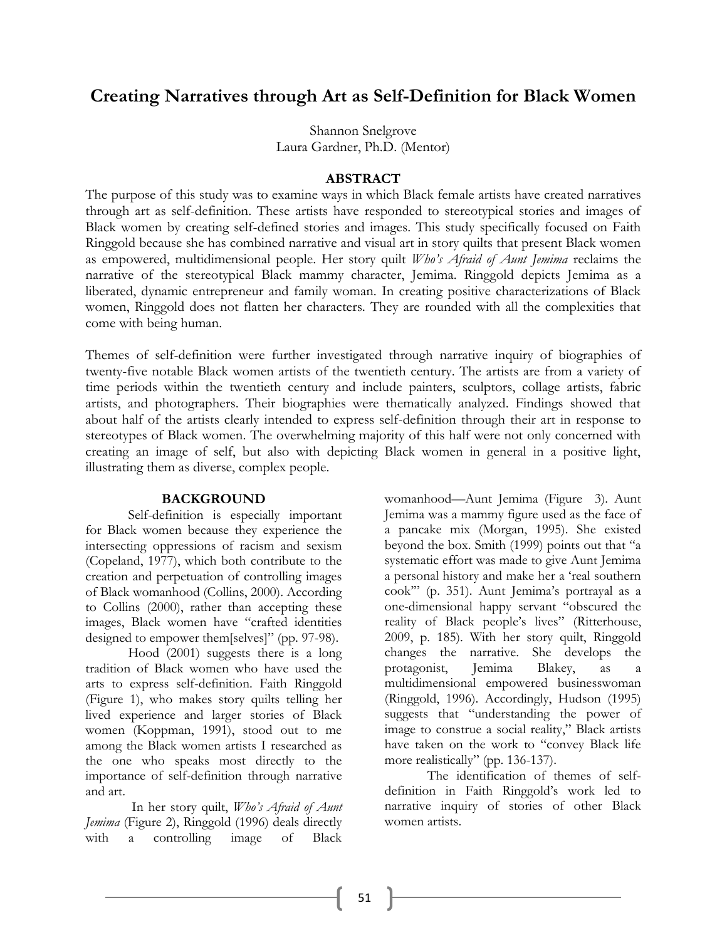# **Creating Narratives through Art as Self-Definition for Black Women**

Shannon Snelgrove Laura Gardner, Ph.D. (Mentor)

## **ABSTRACT**

The purpose of this study was to examine ways in which Black female artists have created narratives through art as self-definition. These artists have responded to stereotypical stories and images of Black women by creating self-defined stories and images. This study specifically focused on Faith Ringgold because she has combined narrative and visual art in story quilts that present Black women as empowered, multidimensional people. Her story quilt *Who's Afraid of Aunt Jemima* reclaims the narrative of the stereotypical Black mammy character, Jemima. Ringgold depicts Jemima as a liberated, dynamic entrepreneur and family woman. In creating positive characterizations of Black women, Ringgold does not flatten her characters. They are rounded with all the complexities that come with being human.

Themes of self-definition were further investigated through narrative inquiry of biographies of twenty-five notable Black women artists of the twentieth century. The artists are from a variety of time periods within the twentieth century and include painters, sculptors, collage artists, fabric artists, and photographers. Their biographies were thematically analyzed. Findings showed that about half of the artists clearly intended to express self-definition through their art in response to stereotypes of Black women. The overwhelming majority of this half were not only concerned with creating an image of self, but also with depicting Black women in general in a positive light, illustrating them as diverse, complex people.

#### **BACKGROUND**

Self-definition is especially important for Black women because they experience the intersecting oppressions of racism and sexism (Copeland, 1977), which both contribute to the creation and perpetuation of controlling images of Black womanhood (Collins, 2000). According to Collins (2000), rather than accepting these images, Black women have "crafted identities designed to empower them[selves]" (pp. 97-98).

Hood (2001) suggests there is a long tradition of Black women who have used the arts to express self-definition. Faith Ringgold (Figure 1), who makes story quilts telling her lived experience and larger stories of Black women (Koppman, 1991), stood out to me among the Black women artists I researched as the one who speaks most directly to the importance of self-definition through narrative and art.

In her story quilt, *Who's Afraid of Aunt Jemima* (Figure 2), Ringgold (1996) deals directly with a controlling image of Black

womanhood—Aunt Jemima (Figure 3). Aunt Jemima was a mammy figure used as the face of a pancake mix (Morgan, 1995). She existed beyond the box. Smith (1999) points out that "a systematic effort was made to give Aunt Jemima a personal history and make her a 'real southern cook'" (p. 351). Aunt Jemima's portrayal as a one-dimensional happy servant "obscured the reality of Black people's lives" (Ritterhouse, 2009, p. 185). With her story quilt, Ringgold changes the narrative. She develops the protagonist, Jemima Blakey, as a multidimensional empowered businesswoman (Ringgold, 1996). Accordingly, Hudson (1995) suggests that "understanding the power of image to construe a social reality," Black artists have taken on the work to "convey Black life more realistically" (pp. 136-137).

The identification of themes of selfdefinition in Faith Ringgold's work led to narrative inquiry of stories of other Black women artists.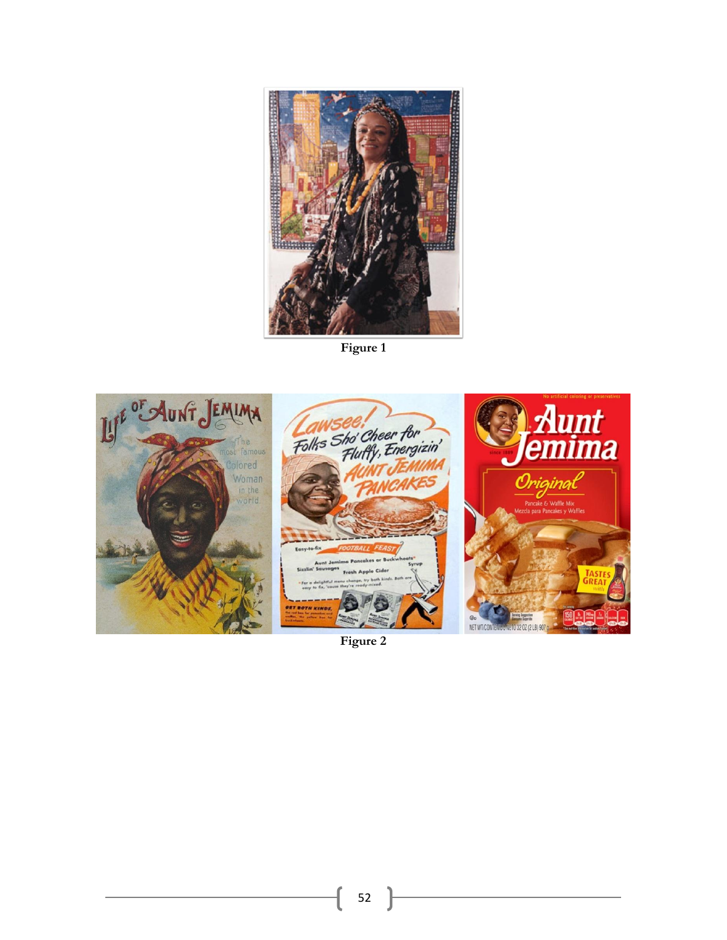

**Figure 1**



**Figure 2**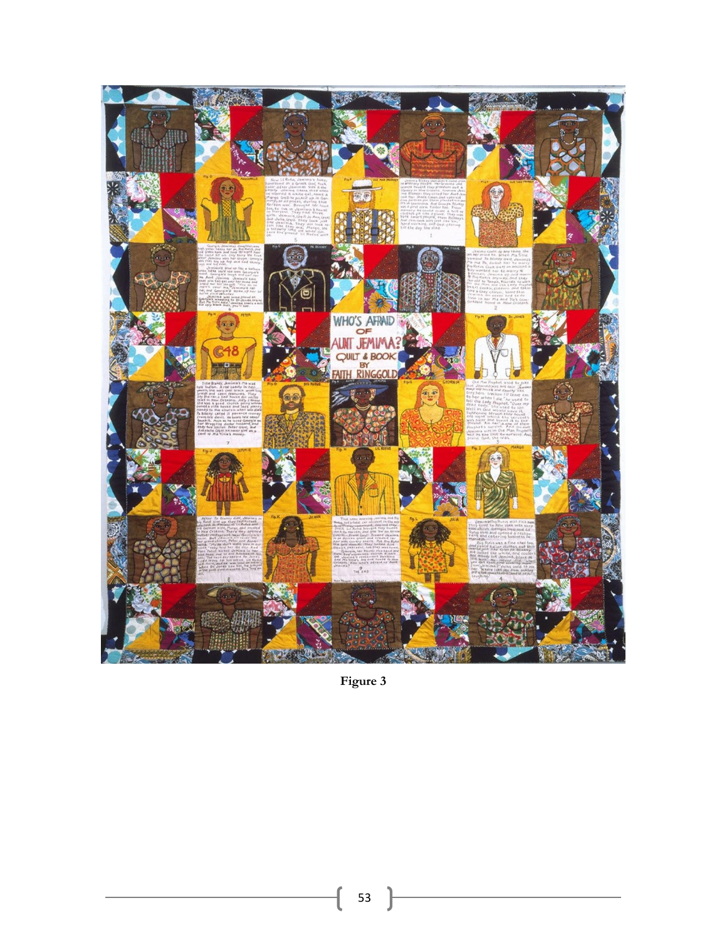

Figure 3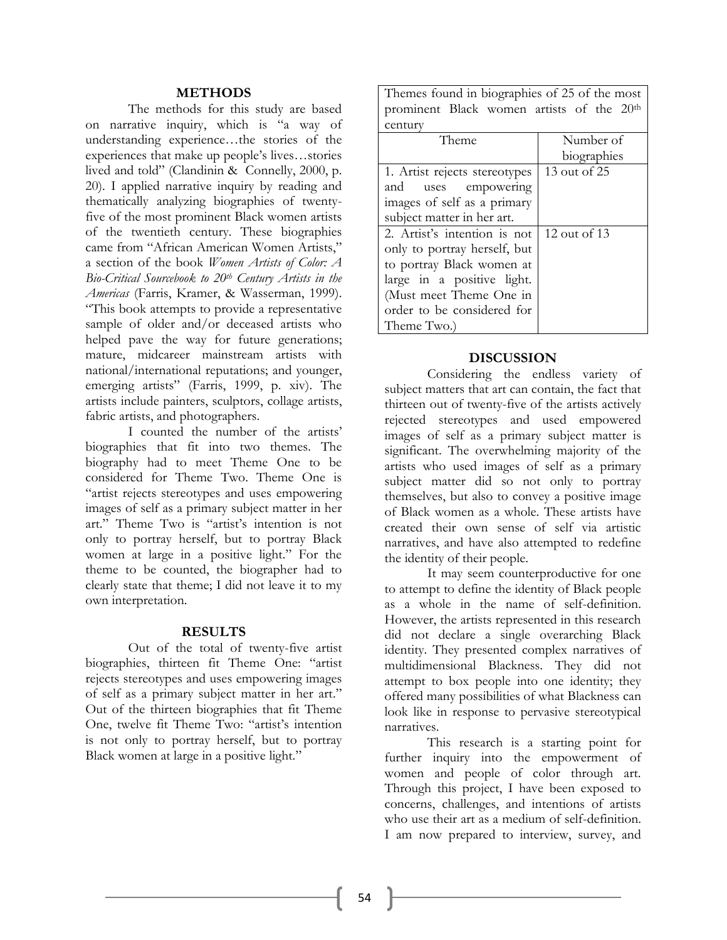## **METHODS**

The methods for this study are based on narrative inquiry, which is "a way of understanding experience…the stories of the experiences that make up people's lives…stories lived and told" (Clandinin & Connelly, 2000, p. 20). I applied narrative inquiry by reading and thematically analyzing biographies of twentyfive of the most prominent Black women artists of the twentieth century. These biographies came from "African American Women Artists," a section of the book *Women Artists of Color: A Bio-Critical Sourcebook to 20th Century Artists in the Americas* (Farris, Kramer, & Wasserman, 1999). "This book attempts to provide a representative sample of older and/or deceased artists who helped pave the way for future generations; mature, midcareer mainstream artists with national/international reputations; and younger, emerging artists" (Farris, 1999, p. xiv). The artists include painters, sculptors, collage artists, fabric artists, and photographers.

I counted the number of the artists' biographies that fit into two themes. The biography had to meet Theme One to be considered for Theme Two. Theme One is "artist rejects stereotypes and uses empowering images of self as a primary subject matter in her art." Theme Two is "artist's intention is not only to portray herself, but to portray Black women at large in a positive light." For the theme to be counted, the biographer had to clearly state that theme; I did not leave it to my own interpretation.

#### **RESULTS**

Out of the total of twenty-five artist biographies, thirteen fit Theme One: "artist rejects stereotypes and uses empowering images of self as a primary subject matter in her art." Out of the thirteen biographies that fit Theme One, twelve fit Theme Two: "artist's intention is not only to portray herself, but to portray Black women at large in a positive light."

Themes found in biographies of 25 of the most prominent Black women artists of the 20th century

| CCIICUI V                     |                  |
|-------------------------------|------------------|
| Theme                         | Number of        |
|                               | biographies      |
| 1. Artist rejects stereotypes | $13$ out of $25$ |
| and<br>uses empowering        |                  |
| images of self as a primary   |                  |
| subject matter in her art.    |                  |
| 2. Artist's intention is not  | 12 out of 13     |
| only to portray herself, but  |                  |
| to portray Black women at     |                  |
| large in a positive light.    |                  |
| (Must meet Theme One in       |                  |
| order to be considered for    |                  |
| Theme Two.)                   |                  |

#### **DISCUSSION**

Considering the endless variety of subject matters that art can contain, the fact that thirteen out of twenty-five of the artists actively rejected stereotypes and used empowered images of self as a primary subject matter is significant. The overwhelming majority of the artists who used images of self as a primary subject matter did so not only to portray themselves, but also to convey a positive image of Black women as a whole. These artists have created their own sense of self via artistic narratives, and have also attempted to redefine the identity of their people.

It may seem counterproductive for one to attempt to define the identity of Black people as a whole in the name of self-definition. However, the artists represented in this research did not declare a single overarching Black identity. They presented complex narratives of multidimensional Blackness. They did not attempt to box people into one identity; they offered many possibilities of what Blackness can look like in response to pervasive stereotypical narratives.

This research is a starting point for further inquiry into the empowerment of women and people of color through art. Through this project, I have been exposed to concerns, challenges, and intentions of artists who use their art as a medium of self-definition. I am now prepared to interview, survey, and